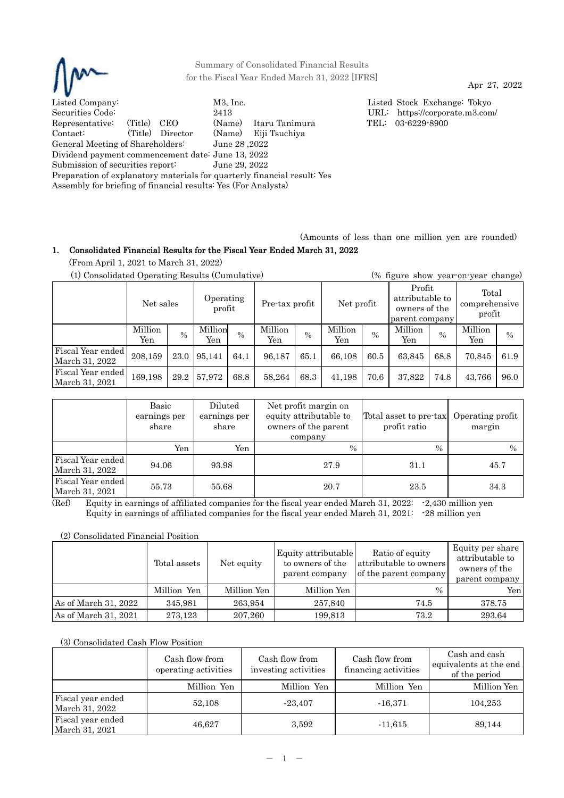

Summary of Consolidated Financial Results for the Fiscal Year Ended March 31, 2022 [IFRS]

Apr 27, 2022

Listed Company: M3, Inc. Listed Stock Exchange: Tokyo Securities Code: 2413 URL: https://corporate.m3.com/<br>Representative: (Title) CEO (Name) Itaru Tanimura TEL: 03-6229-8900 Representative: (Title) CEO (Name) Itaru Tanimura TEL: 03-6229-8900 Contact: (Title) Director (Name) Eiji Tsuchiya General Meeting of Shareholders: June 28 ,2022 Dividend payment commencement date: June 13, 2022 Submission of securities report: June 29, 2022 Preparation of explanatory materials for quarterly financial result: Yes Assembly for briefing of financial results: Yes (For Analysts)

(Amounts of less than one million yen are rounded)

# 1. Consolidated Financial Results for the Fiscal Year Ended March 31, 2022

(From April 1, 2021 to March 31, 2022)

| (1) Consolidated Operating Results (Cumulative) |                                  |      |                |                |                |               |                |                                                              | (% figure show year-on-year change) |                                  |                |               |
|-------------------------------------------------|----------------------------------|------|----------------|----------------|----------------|---------------|----------------|--------------------------------------------------------------|-------------------------------------|----------------------------------|----------------|---------------|
|                                                 | Operating<br>Net sales<br>profit |      |                | Pre-tax profit |                | Net profit    |                | Profit<br>attributable to<br>owners of the<br>parent company |                                     | Total<br>comprehensive<br>profit |                |               |
|                                                 | Million<br>Yen                   | $\%$ | Million<br>Yen | $\%$           | Million<br>Yen | $\frac{0}{0}$ | Million<br>Yen | $\frac{0}{0}$                                                | Million<br>Yen                      | $\%$                             | Million<br>Yen | $\frac{0}{0}$ |
| Fiscal Year ended<br>March 31, 2022             | 208,159                          | 23.0 | 95,141         | 64.1           | 96,187         | 65.1          | 66,108         | 60.5                                                         | 63,845                              | 68.8                             | 70,845         | 61.9          |
| Fiscal Year ended<br>March 31, 2021             | 169,198                          | 29.2 | 57,972         | 68.8           | 58,264         | 68.3          | 41,198         | 70.6                                                         | 37,822                              | 74.8                             | 43,766         | 96.0          |

|                                     | Basic<br>earnings per<br>share | Diluted<br>earnings per<br>share | Net profit margin on<br>equity attributable to<br>owners of the parent<br>company | Total asset to pre-tax<br>profit ratio | Operating profit<br>margin |
|-------------------------------------|--------------------------------|----------------------------------|-----------------------------------------------------------------------------------|----------------------------------------|----------------------------|
|                                     | Yen                            | Yen                              | $\frac{0}{0}$                                                                     | $\%$                                   | $\frac{0}{0}$              |
| Fiscal Year ended<br>March 31, 2022 | 94.06                          | 93.98                            | 27.9                                                                              | 31.1                                   | 45.7                       |
| Fiscal Year ended<br>March 31, 2021 | 55.73                          | 55.68                            | 20.7                                                                              | 23.5                                   | 34.3                       |

 $(Ref)$  Equity in earnings of affiliated companies for the fiscal year ended March 31, 2022:  $-2,430$  million yen Equity in earnings of affiliated companies for the fiscal year ended March 31, 2021: -28 million yen

(2) Consolidated Financial Position

|                      | Total assets | Net equity  | Equity attributable<br>to owners of the<br>parent company | Ratio of equity<br>attributable to owners<br>of the parent company | Equity per share<br>attributable to<br>owners of the<br>parent company |
|----------------------|--------------|-------------|-----------------------------------------------------------|--------------------------------------------------------------------|------------------------------------------------------------------------|
|                      | Million Yen  | Million Yen | Million Yen                                               | $\frac{0}{0}$                                                      | Yenl                                                                   |
| As of March 31, 2022 | 345,981      | 263,954     | 257,840                                                   | 74.5                                                               | 378.75                                                                 |
| As of March 31, 2021 | 273,123      | 207,260     | 199,813                                                   | 73.2                                                               | 293.64                                                                 |

(3) Consolidated Cash Flow Position

|                                     | Cash flow from<br>operating activities | Cash flow from<br>investing activities | Cash flow from<br>financing activities | Cash and cash<br>equivalents at the end<br>of the period |
|-------------------------------------|----------------------------------------|----------------------------------------|----------------------------------------|----------------------------------------------------------|
|                                     | Million Yen                            | Million Yen                            | Million Yen                            | Million Yen                                              |
| Fiscal year ended<br>March 31, 2022 | 52,108                                 | $-23.407$                              | $-16,371$                              | 104,253                                                  |
| Fiscal year ended<br>March 31, 2021 | 46,627                                 | 3,592                                  | $-11,615$                              | 89,144                                                   |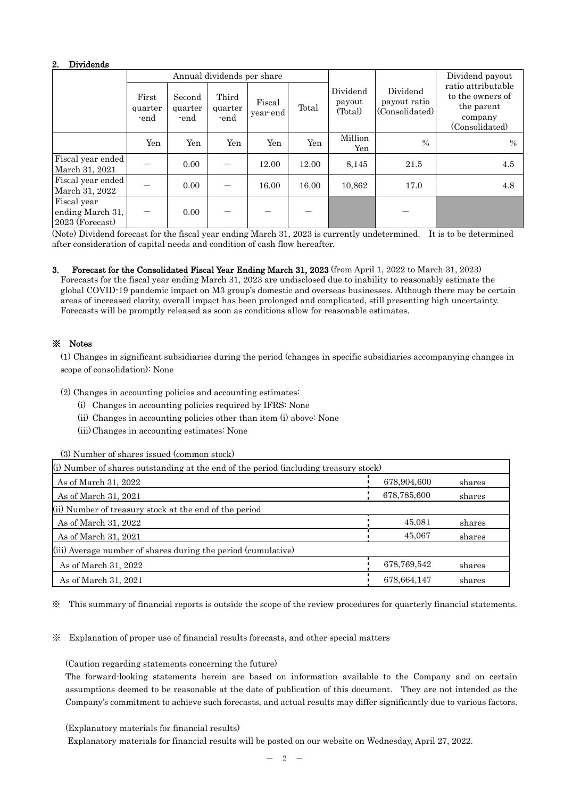# 2. Dividends

|                                                    |                          |                           | Annual dividends per share |                    |       |                               |                                            | Dividend payout                                                                   |
|----------------------------------------------------|--------------------------|---------------------------|----------------------------|--------------------|-------|-------------------------------|--------------------------------------------|-----------------------------------------------------------------------------------|
|                                                    | First<br>quarter<br>-end | Second<br>quarter<br>-end | Third<br>quarter<br>-end   | Fiscal<br>year end | Total | Dividend<br>payout<br>(Total) | Dividend<br>payout ratio<br>(Consolidated) | ratio attributable<br>to the owners of<br>the parent<br>company<br>(Consolidated) |
|                                                    | Yen                      | Yen                       | Yen                        | Yen                | Yen   | Million<br>Yen                | $\frac{0}{0}$                              | $\frac{0}{0}$                                                                     |
| Fiscal year ended<br>March 31, 2021                |                          | 0.00                      |                            | 12.00              | 12.00 | 8,145                         | 21.5                                       | 4.5                                                                               |
| Fiscal year ended<br>March 31, 2022                |                          | 0.00                      |                            | 16.00              | 16.00 | 10,862                        | 17.0                                       | 4.8                                                                               |
| Fiscal year<br>ending March 31,<br>2023 (Forecast) |                          | 0.00                      |                            |                    |       |                               |                                            |                                                                                   |

(Note) Dividend forecast for the fiscal year ending March 31, 2023 is currently undetermined. It is to be determined after consideration of capital needs and condition of cash flow hereafter.

3. Forecast for the Consolidated Fiscal Year Ending March 31, 2023 (from April 1, 2022 to March 31, 2023) Forecasts for the fiscal year ending March 31, 2023 are undisclosed due to inability to reasonably estimate the global COVID-19 pandemic impact on M3 group's domestic and overseas businesses. Although there may be certain areas of increased clarity, overall impact has been prolonged and complicated, still presenting high uncertainty. Forecasts will be promptly released as soon as conditions allow for reasonable estimates.

# ※ Notes

(1) Changes in significant subsidiaries during the period (changes in specific subsidiaries accompanying changes in scope of consolidation): None

(2) Changes in accounting policies and accounting estimates:

- (i) Changes in accounting policies required by IFRS: None
- (ii) Changes in accounting policies other than item (i) above: None
- (iii) Changes in accounting estimates: None

(3) Number of shares issued (common stock)

| (i) Number of shares outstanding at the end of the period (including treasury stock) |             |        |  |  |  |  |  |
|--------------------------------------------------------------------------------------|-------------|--------|--|--|--|--|--|
| As of March 31, 2022                                                                 | 678,904,600 | shares |  |  |  |  |  |
| As of March 31, 2021                                                                 | 678,785,600 | shares |  |  |  |  |  |
| (ii) Number of treasury stock at the end of the period                               |             |        |  |  |  |  |  |
| As of March 31, 2022                                                                 | 45,081      | shares |  |  |  |  |  |
| As of March 31, 2021                                                                 | 45,067      | shares |  |  |  |  |  |
| (iii) Average number of shares during the period (cumulative)                        |             |        |  |  |  |  |  |
| As of March 31, 2022                                                                 | 678,769,542 | shares |  |  |  |  |  |
| As of March 31, 2021                                                                 | 678,664,147 | shares |  |  |  |  |  |

※ This summary of financial reports is outside the scope of the review procedures for quarterly financial statements.

※ Explanation of proper use of financial results forecasts, and other special matters

(Caution regarding statements concerning the future)

The forward-looking statements herein are based on information available to the Company and on certain assumptions deemed to be reasonable at the date of publication of this document. They are not intended as the Company's commitment to achieve such forecasts, and actual results may differ significantly due to various factors.

(Explanatory materials for financial results)

Explanatory materials for financial results will be posted on our website on Wednesday, April 27, 2022.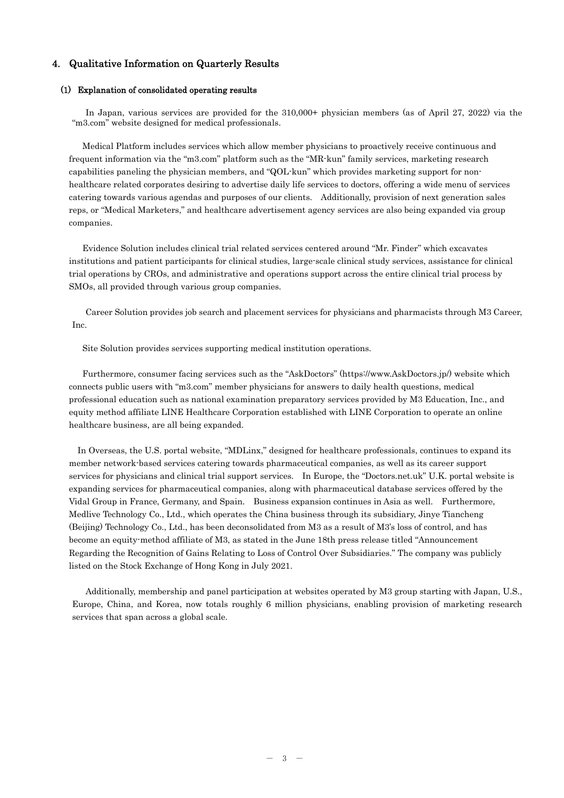# 4. Qualitative Information on Quarterly Results

#### (1) Explanation of consolidated operating results

In Japan, various services are provided for the 310,000+ physician members (as of April 27, 2022) via the "m3.com" website designed for medical professionals.

Medical Platform includes services which allow member physicians to proactively receive continuous and frequent information via the "m3.com" platform such as the "MR-kun" family services, marketing research capabilities paneling the physician members, and "QOL-kun" which provides marketing support for nonhealthcare related corporates desiring to advertise daily life services to doctors, offering a wide menu of services catering towards various agendas and purposes of our clients. Additionally, provision of next generation sales reps, or "Medical Marketers," and healthcare advertisement agency services are also being expanded via group companies.

Evidence Solution includes clinical trial related services centered around "Mr. Finder" which excavates institutions and patient participants for clinical studies, large-scale clinical study services, assistance for clinical trial operations by CROs, and administrative and operations support across the entire clinical trial process by SMOs, all provided through various group companies.

Career Solution provides job search and placement services for physicians and pharmacists through M3 Career, Inc.

Site Solution provides services supporting medical institution operations.

Furthermore, consumer facing services such as the "AskDoctors" (https://www.AskDoctors.jp/) website which connects public users with "m3.com" member physicians for answers to daily health questions, medical professional education such as national examination preparatory services provided by M3 Education, Inc., and equity method affiliate LINE Healthcare Corporation established with LINE Corporation to operate an online healthcare business, are all being expanded.

In Overseas, the U.S. portal website, "MDLinx," designed for healthcare professionals, continues to expand its member network-based services catering towards pharmaceutical companies, as well as its career support services for physicians and clinical trial support services. In Europe, the "Doctors.net.uk" U.K. portal website is expanding services for pharmaceutical companies, along with pharmaceutical database services offered by the Vidal Group in France, Germany, and Spain. Business expansion continues in Asia as well. Furthermore, Medlive Technology Co., Ltd., which operates the China business through its subsidiary, Jinye Tiancheng (Beijing) Technology Co., Ltd., has been deconsolidated from M3 as a result of M3's loss of control, and has become an equity-method affiliate of M3, as stated in the June 18th press release titled "Announcement Regarding the Recognition of Gains Relating to Loss of Control Over Subsidiaries." The company was publicly listed on the Stock Exchange of Hong Kong in July 2021.

Additionally, membership and panel participation at websites operated by M3 group starting with Japan, U.S., Europe, China, and Korea, now totals roughly 6 million physicians, enabling provision of marketing research services that span across a global scale.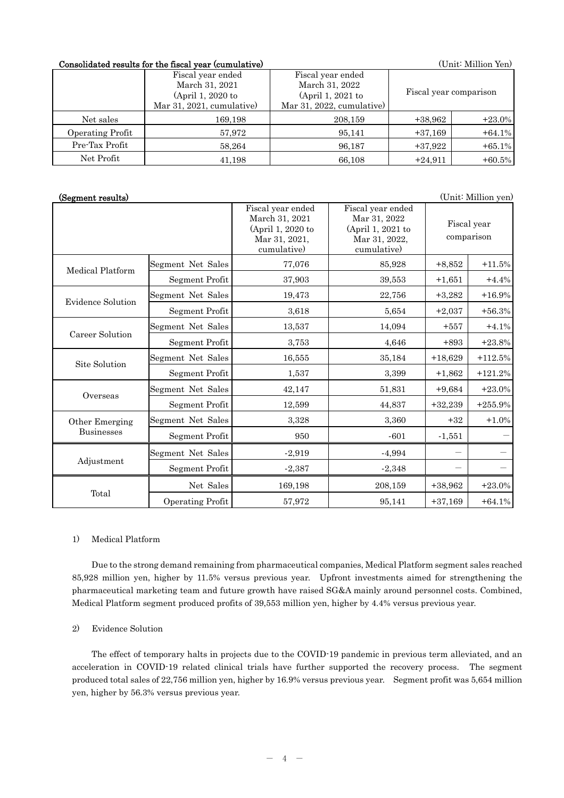## Consolidated results for the fiscal year (cumulative) (Unit: Million Yen)

|                  | Fiscal year ended         | Fiscal year ended        |           |                        |
|------------------|---------------------------|--------------------------|-----------|------------------------|
|                  | March 31, 2021            | March 31, 2022           |           |                        |
|                  | (April 1, 2020 to         | (April 1, 2021 to        |           | Fiscal year comparison |
|                  | Mar 31, 2021, cumulative) | Mar 31, 2022, cumulative |           |                        |
| Net sales        | 169,198                   | 208,159                  | $+38,962$ | $+23.0\%$              |
| Operating Profit | 57,972                    | 95,141                   | $+37,169$ | $+64.1%$               |
| Pre-Tax Profit   | 58,264                    | 96.187                   | $+37,922$ | $+65.1%$               |
| Net Profit       | 41,198                    | 66,108                   | $+24,911$ | $+60.5%$               |

# (Segment results) (Unit: Million yen)

|                          |                       | Fiscal year ended<br>March 31, 2021<br>(April 1, 2020 to<br>Mar 31, 2021,<br>cumulative) | Fiscal year ended<br>Mar 31, 2022<br>(April 1, 2021 to<br>Mar 31, 2022,<br>cumulative) |           | Fiscal year<br>comparison |
|--------------------------|-----------------------|------------------------------------------------------------------------------------------|----------------------------------------------------------------------------------------|-----------|---------------------------|
| Medical Platform         | Segment Net Sales     | 77,076                                                                                   | 85,928                                                                                 | $+8,852$  | $+11.5%$                  |
|                          | Segment Profit        | 37,903                                                                                   | 39,553                                                                                 | $+1,651$  | $+4.4%$                   |
| <b>Evidence Solution</b> | Segment Net Sales     | 19,473                                                                                   | 22,756                                                                                 | $+3,282$  | $+16.9%$                  |
|                          | <b>Segment Profit</b> | 3,618                                                                                    | 5.654                                                                                  | $+2,037$  | $+56.3%$                  |
| Career Solution          | Segment Net Sales     | 13,537                                                                                   | 14,094                                                                                 | $+557$    | $+4.1%$                   |
|                          | Segment Profit        | 3,753                                                                                    | 4,646                                                                                  | $+893$    | $+23.8%$                  |
| Site Solution            | Segment Net Sales     | 16,555                                                                                   | 35,184                                                                                 | $+18,629$ | $+112.5%$                 |
|                          | Segment Profit        | 1,537                                                                                    | 3,399                                                                                  | $+1,862$  | $+121.2%$                 |
| Overseas                 | Segment Net Sales     | 42,147                                                                                   | 51,831                                                                                 | $+9,684$  | $+23.0%$                  |
|                          | Segment Profit        | 12,599                                                                                   | 44,837                                                                                 | $+32,239$ | $+255.9%$                 |
| Other Emerging           | Segment Net Sales     | 3,328                                                                                    | 3,360                                                                                  | $+32$     | $+1.0%$                   |
| <b>Businesses</b>        | Segment Profit        | 950                                                                                      | $-601$                                                                                 | $-1,551$  |                           |
|                          | Segment Net Sales     | $-2,919$                                                                                 | $-4,994$                                                                               |           |                           |
| Adjustment               | Segment Profit        | $-2,387$                                                                                 | $-2,348$                                                                               |           |                           |
|                          | Net Sales             | 169,198                                                                                  | 208,159                                                                                | $+38,962$ | $+23.0%$                  |
| Total                    | Operating Profit      | 57,972                                                                                   | 95,141                                                                                 | $+37,169$ | $+64.1%$                  |

### 1) Medical Platform

Due to the strong demand remaining from pharmaceutical companies, Medical Platform segment sales reached 85,928 million yen, higher by 11.5% versus previous year. Upfront investments aimed for strengthening the pharmaceutical marketing team and future growth have raised SG&A mainly around personnel costs. Combined, Medical Platform segment produced profits of 39,553 million yen, higher by 4.4% versus previous year.

## 2) Evidence Solution

The effect of temporary halts in projects due to the COVID-19 pandemic in previous term alleviated, and an acceleration in COVID-19 related clinical trials have further supported the recovery process. The segment produced total sales of 22,756 million yen, higher by 16.9% versus previous year. Segment profit was 5,654 million yen, higher by 56.3% versus previous year.